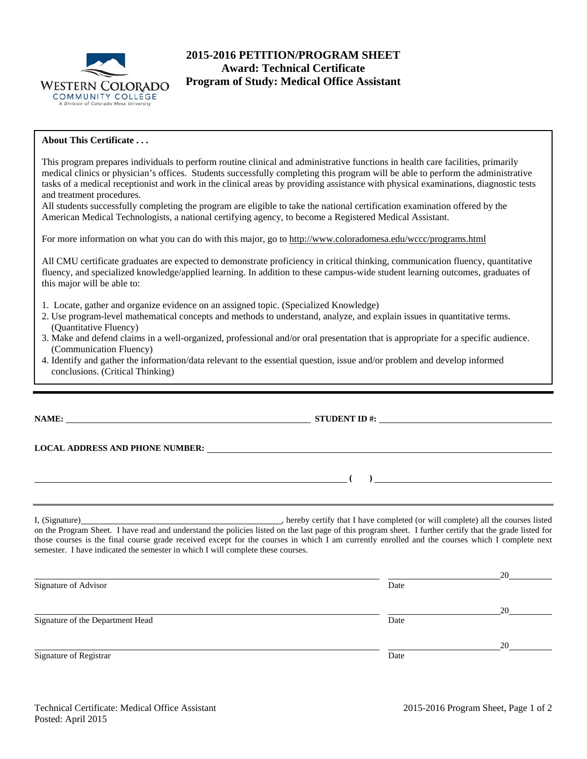

# **2015-2016 PETITION/PROGRAM SHEET Award: Technical Certificate Program of Study: Medical Office Assistant**

# **About This Certificate . . .**

**NAME: STUDENT ID #: STUDENT ID #: STUDENT ID #: STUDENT ID #: STUDENT ID #: STUDENT ID #: STUDENT ID #: STUDENT ID #: STUDENT ID #: STUDENT ID #: STUDENT ID #: STUDENT ID #: STUDENT ID #: STUDE LOCAL ADDRESS AND PHONE NUMBER: (** ) I, (Signature) **Solution** , hereby certify that I have completed (or will complete) all the courses listed on the Program Sheet. I have read and understand the policies listed on the last page of this program sheet. I further certify that the grade listed for those courses is the final course grade received except for the courses in which I am currently enrolled and the courses which I complete next semester. I have indicated the semester in which I will complete these courses. <u>20</u> Signature of Advisor Date <u>20</u> Signature of the Department Head Date Date of the Department Head This program prepares individuals to perform routine clinical and administrative functions in health care facilities, primarily medical clinics or physician's offices. Students successfully completing this program will be able to perform the administrative tasks of a medical receptionist and work in the clinical areas by providing assistance with physical examinations, diagnostic tests and treatment procedures. All students successfully completing the program are eligible to take the national certification examination offered by the American Medical Technologists, a national certifying agency, to become a Registered Medical Assistant. For more information on what you can do with this major, go to http://www.coloradomesa.edu/wccc/programs.html All CMU certificate graduates are expected to demonstrate proficiency in critical thinking, communication fluency, quantitative fluency, and specialized knowledge/applied learning. In addition to these campus-wide student learning outcomes, graduates of this major will be able to: 1. Locate, gather and organize evidence on an assigned topic. (Specialized Knowledge) 2. Use program-level mathematical concepts and methods to understand, analyze, and explain issues in quantitative terms. (Quantitative Fluency) 3. Make and defend claims in a well-organized, professional and/or oral presentation that is appropriate for a specific audience. (Communication Fluency) 4. Identify and gather the information/data relevant to the essential question, issue and/or problem and develop informed conclusions. (Critical Thinking)

Signature of Registrar Date Date and Security and Security and Security and Security and Security and Security and Security and Security and Security and Security and Security and Security and Security and Security and Sec

<u>20</u>